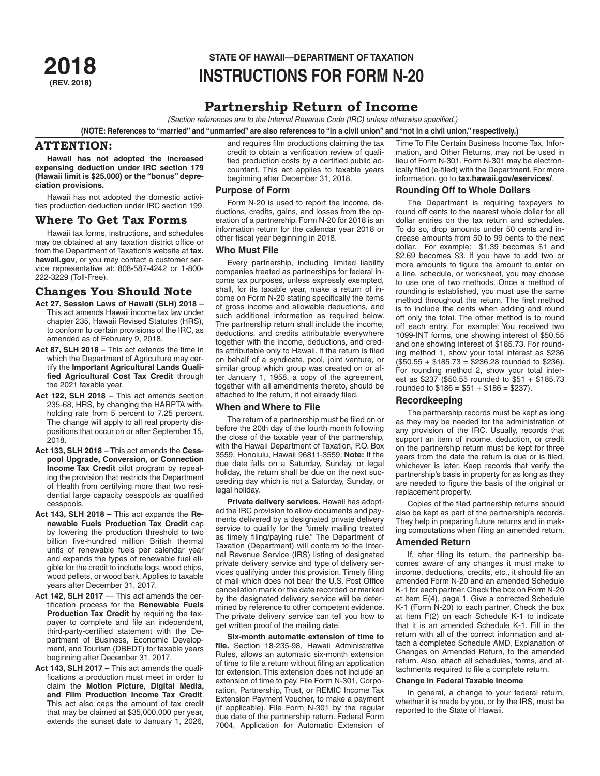# **STATE OF HAWAII—DEPARTMENT OF TAXATION<br>2018 INSTRIICTIONS FOR FORM N-2 (REV. 2018) INSTRUCTIONS FOR FORM N-20**

# **Partnership Return of Income**

*(Section references are to the Internal Revenue Code (IRC) unless otherwise specified.)*

**(NOTE: References to "married" and "unmarried" are also references to "in a civil union" and "not in a civil union," respectively.)**

# **ATTENTION:**

**Hawaii has not adopted the increased expensing deduction under IRC section 179 (Hawaii limit is \$25,000) or the "bonus" depreciation provisions.**

Hawaii has not adopted the domestic activities production deduction under IRC section 199.

# **Where To Get Tax Forms**

Hawaii tax forms, instructions, and schedules may be obtained at any taxation district office or from the Department of Taxation's website at **tax. hawaii.gov**, or you may contact a customer service representative at: 808-587-4242 or 1-800- 222-3229 (Toll-Free).

# **Changes You Should Note**

- **Act 27, Session Laws of Hawaii (SLH) 2018**  This act amends Hawaii income tax law under chapter 235, Hawaii Revised Statutes (HRS), to conform to certain provisions of the IRC, as amended as of February 9, 2018.
- **Act 87, SLH 2018** This act extends the time in which the Department of Agriculture may certify the **Important Agricultural Lands Qualified Agricultural Cost Tax Credit** through the 2021 taxable year.
- **Act 122, SLH 2018** This act amends section 235-68, HRS, by changing the HARPTA withholding rate from 5 percent to 7.25 percent. The change will apply to all real property dispositions that occur on or after September 15, 2018.
- **Act 133, SLH 2018 –** This act amends the **Cesspool Upgrade, Conversion, or Connection Income Tax Credit** pilot program by repealing the provision that restricts the Department of Health from certifying more than two residential large capacity cesspools as qualified cesspools.
- **Act 143, SLH 2018** This act expands the **Renewable Fuels Production Tax Credit** cap by lowering the production threshold to two billion five-hundred million British thermal units of renewable fuels per calendar year and expands the types of renewable fuel eligible for the credit to include logs, wood chips, wood pellets, or wood bark. Applies to taxable years after December 31, 2017.
- A**ct 142, SLH 2017**  This act amends the certification process for the **Renewable Fuels Production Tax Credit** by requiring the taxpayer to complete and file an independent, third-party-certified statement with the Department of Business, Economic Development, and Tourism (DBEDT) for taxable years beginning after December 31, 2017.
- **Act 143, SLH 2017** This act amends the qualifications a production must meet in order to claim the **Motion Picture, Digital Media, and Film Production Income Tax Credit**. This act also caps the amount of tax credit that may be claimed at \$35,000,000 per year, extends the sunset date to January 1, 2026,

and requires film productions claiming the tax credit to obtain a verification review of qualified production costs by a certified public accountant. This act applies to taxable years beginning after December 31, 2018.

# **Purpose of Form**

Form N-20 is used to report the income, deductions, credits, gains, and losses from the operation of a partnership. Form N-20 for 2018 is an information return for the calendar year 2018 or other fiscal year beginning in 2018.

# **Who Must File**

Every partnership, including limited liability companies treated as partnerships for federal income tax purposes, unless expressly exempted, shall, for its taxable year, make a return of income on Form N-20 stating specifically the items of gross income and allowable deductions, and such additional information as required below. The partnership return shall include the income, deductions, and credits attributable everywhere together with the income, deductions, and credits attributable only to Hawaii. If the return is filed on behalf of a syndicate, pool, joint venture, or similar group which group was created on or after January 1, 1958, a copy of the agreement, together with all amendments thereto, should be attached to the return, if not already filed.

#### **When and Where to File**

The return of a partnership must be filed on or before the 20th day of the fourth month following the close of the taxable year of the partnership, with the Hawaii Department of Taxation, P.O. Box 3559, Honolulu, Hawaii 96811-3559. **Note:** If the due date falls on a Saturday, Sunday, or legal holiday, the return shall be due on the next succeeding day which is not a Saturday, Sunday, or legal holiday.

**Private delivery services.** Hawaii has adopted the IRC provision to allow documents and payments delivered by a designated private delivery service to qualify for the "timely mailing treated as timely filing/paying rule." The Department of Taxation (Department) will conform to the Internal Revenue Service (IRS) listing of designated private delivery service and type of delivery services qualifying under this provision. Timely filing of mail which does not bear the U.S. Post Office cancellation mark or the date recorded or marked by the designated delivery service will be determined by reference to other competent evidence. The private delivery service can tell you how to get written proof of the mailing date.

**Six-month automatic extension of time to file.** Section 18-235-98, Hawaii Administrative Rules, allows an automatic six-month extension of time to file a return without filing an application for extension. This extension does not include an extension of time to pay. File Form N-301, Corporation, Partnership, Trust, or REMIC Income Tax Extension Payment Voucher, to make a payment (if applicable). File Form N-301 by the regular due date of the partnership return. Federal Form 7004, Application for Automatic Extension of Time To File Certain Business Income Tax, Information, and Other Returns, may not be used in lieu of Form N-301. Form N-301 may be electronically filed (e-filed) with the Department. For more information, go to **tax.hawaii.gov/eservices/**.

# **Rounding Off to Whole Dollars**

The Department is requiring taxpayers to round off cents to the nearest whole dollar for all dollar entries on the tax return and schedules. To do so, drop amounts under 50 cents and increase amounts from 50 to 99 cents to the next dollar. For example: \$1.39 becomes \$1 and \$2.69 becomes \$3. If you have to add two or more amounts to figure the amount to enter on a line, schedule, or worksheet, you may choose to use one of two methods. Once a method of rounding is established, you must use the same method throughout the return. The first method is to include the cents when adding and round off only the total. The other method is to round off each entry. For example: You received two 1099-INT forms, one showing interest of \$50.55 and one showing interest of \$185.73. For rounding method 1, show your total interest as \$236  $($50.55 + $185.73 = $236.28$  rounded to \$236). For rounding method 2, show your total interest as \$237 (\$50.55 rounded to \$51 + \$185.73 rounded to  $$186 = $51 + $186 = $237$ .

#### **Recordkeeping**

The partnership records must be kept as long as they may be needed for the administration of any provision of the IRC. Usually, records that support an item of income, deduction, or credit on the partnership return must be kept for three years from the date the return is due or is filed, whichever is later. Keep records that verify the partnership's basis in property for as long as they are needed to figure the basis of the original or replacement property.

Copies of the filed partnership returns should also be kept as part of the partnership's records. They help in preparing future returns and in making computations when filing an amended return.

# **Amended Return**

If, after filing its return, the partnership becomes aware of any changes it must make to income, deductions, credits, etc., it should file an amended Form N-20 and an amended Schedule K-1 for each partner. Check the box on Form N-20 at Item E(4), page 1. Give a corrected Schedule K-1 (Form N-20) to each partner. Check the box at Item F(2) on each Schedule K-1 to indicate that it is an amended Schedule K-1. Fill in the return with all of the correct information and attach a completed Schedule AMD, Explanation of Changes on Amended Return, to the amended return. Also, attach all schedules, forms, and attachments required to file a complete return.

#### **Change in Federal Taxable Income**

In general, a change to your federal return, whether it is made by you, or by the IRS, must be reported to the State of Hawaii.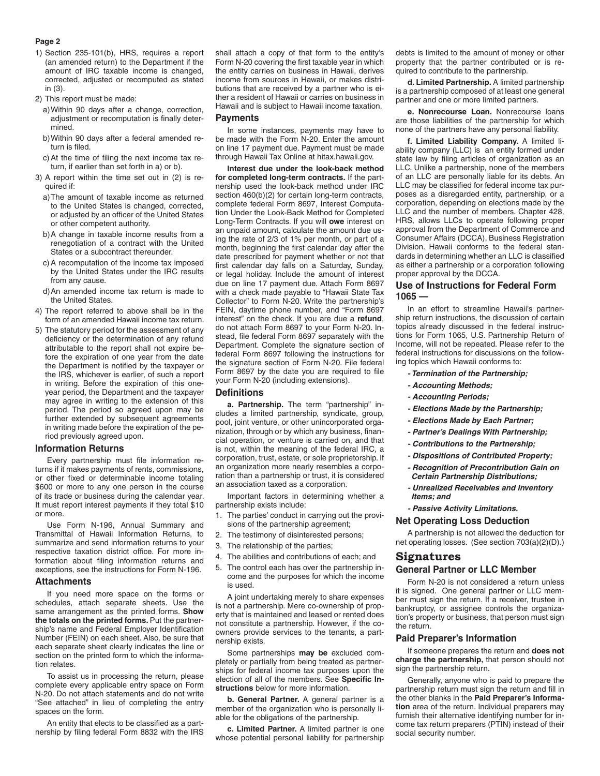#### **Page 2**

- 1) Section 235-101(b), HRS, requires a report (an amended return) to the Department if the amount of IRC taxable income is changed, corrected, adjusted or recomputed as stated in (3).
- 2) This report must be made:
	- a)Within 90 days after a change, correction, adjustment or recomputation is finally determined.
	- b)Within 90 days after a federal amended return is filed.
	- c)At the time of filing the next income tax return, if earlier than set forth in a) or b).
- 3) A report within the time set out in (2) is required if:
	- a)The amount of taxable income as returned to the United States is changed, corrected, or adjusted by an officer of the United States or other competent authority.
	- b)A change in taxable income results from a renegotiation of a contract with the United States or a subcontract thereunder.
	- c)A recomputation of the income tax imposed by the United States under the IRC results from any cause.
	- d)An amended income tax return is made to the United States.
- 4) The report referred to above shall be in the form of an amended Hawaii income tax return.
- 5) The statutory period for the assessment of any deficiency or the determination of any refund attributable to the report shall not expire before the expiration of one year from the date the Department is notified by the taxpayer or the IRS, whichever is earlier, of such a report in writing. Before the expiration of this oneyear period, the Department and the taxpayer may agree in writing to the extension of this period. The period so agreed upon may be further extended by subsequent agreements in writing made before the expiration of the period previously agreed upon.

#### **Information Returns**

Every partnership must file information returns if it makes payments of rents, commissions, or other fixed or determinable income totaling \$600 or more to any one person in the course of its trade or business during the calendar year. It must report interest payments if they total \$10 or more.

Use Form N-196, Annual Summary and Transmittal of Hawaii Information Returns, to summarize and send information returns to your respective taxation district office. For more information about filing information returns and exceptions, see the instructions for Form N-196.

#### **Attachments**

If you need more space on the forms or schedules, attach separate sheets. Use the same arrangement as the printed forms. **Show the totals on the printed forms.** Put the partnership's name and Federal Employer Identification Number (FEIN) on each sheet. Also, be sure that each separate sheet clearly indicates the line or section on the printed form to which the information relates.

To assist us in processing the return, please complete every applicable entry space on Form N-20. Do not attach statements and do not write "See attached" in lieu of completing the entry spaces on the form.

An entity that elects to be classified as a partnership by filing federal Form 8832 with the IRS shall attach a copy of that form to the entity's Form N-20 covering the first taxable year in which the entity carries on business in Hawaii, derives income from sources in Hawaii, or makes distributions that are received by a partner who is either a resident of Hawaii or carries on business in Hawaii and is subject to Hawaii income taxation.

#### **Payments**

In some instances, payments may have to be made with the Form N-20. Enter the amount on line 17 payment due. Payment must be made through Hawaii Tax Online at hitax.hawaii.gov.

**Interest due under the look-back method for completed long-term contracts.** If the partnership used the look-back method under IRC section 460(b)(2) for certain long-term contracts, complete federal Form 8697, Interest Computation Under the Look-Back Method for Completed Long-Term Contracts. If you will **owe** interest on an unpaid amount, calculate the amount due using the rate of 2/3 of 1% per month, or part of a month, beginning the first calendar day after the date prescribed for payment whether or not that first calendar day falls on a Saturday, Sunday, or legal holiday. Include the amount of interest due on line 17 payment due. Attach Form 8697 with a check made payable to "Hawaii State Tax Collector" to Form N-20. Write the partnership's FEIN, daytime phone number, and "Form 8697 interest" on the check. If you are due a **refund**, do not attach Form 8697 to your Form N-20. Instead, file federal Form 8697 separately with the Department. Complete the signature section of federal Form 8697 following the instructions for the signature section of Form N-20. File federal Form 8697 by the date you are required to file your Form N-20 (including extensions).

#### **Definitions**

**a. Partnership.** The term "partnership" includes a limited partnership, syndicate, group, pool, joint venture, or other unincorporated organization, through or by which any business, financial operation, or venture is carried on, and that is not, within the meaning of the federal IRC, a corporation, trust, estate, or sole proprietorship. If an organization more nearly resembles a corporation than a partnership or trust, it is considered an association taxed as a corporation.

Important factors in determining whether a partnership exists include:

- 1. The parties' conduct in carrying out the provisions of the partnership agreement;
- 2. The testimony of disinterested persons;
- 3. The relationship of the parties;
- 4. The abilities and contributions of each; and
- 5. The control each has over the partnership income and the purposes for which the income is used.

A joint undertaking merely to share expenses is not a partnership. Mere co-ownership of property that is maintained and leased or rented does not constitute a partnership. However, if the coowners provide services to the tenants, a partnership exists.

Some partnerships **may be** excluded completely or partially from being treated as partnerships for federal income tax purposes upon the election of all of the members. See **Specific Instructions** below for more information.

**b. General Partner.** A general partner is a member of the organization who is personally liable for the obligations of the partnership.

**c. Limited Partner.** A limited partner is one whose potential personal liability for partnership debts is limited to the amount of money or other property that the partner contributed or is required to contribute to the partnership.

**d. Limited Partnership.** A limited partnership is a partnership composed of at least one general partner and one or more limited partners.

**e. Nonrecourse Loan.** Nonrecourse loans are those liabilities of the partnership for which none of the partners have any personal liability.

**f. Limited Liability Company.** A limited liability company (LLC) is an entity formed under state law by filing articles of organization as an LLC. Unlike a partnership, none of the members of an LLC are personally liable for its debts. An LLC may be classified for federal income tax purposes as a disregarded entity, partnership, or a corporation, depending on elections made by the LLC and the number of members. Chapter 428, HRS, allows LLCs to operate following proper approval from the Department of Commerce and Consumer Affairs (DCCA), Business Registration Division. Hawaii conforms to the federal standards in determining whether an LLC is classified as either a partnership or a corporation following proper approval by the DCCA.

### **Use of Instructions for Federal Form 1065 —**

In an effort to streamline Hawaii's partnership return instructions, the discussion of certain topics already discussed in the federal instructions for Form 1065, U.S. Partnership Return of Income, will not be repeated. Please refer to the federal instructions for discussions on the following topics which Hawaii conforms to:

- *Termination of the Partnership;*
- *Accounting Methods;*
- *Accounting Periods;*
- *Elections Made by the Partnership;*
- *Elections Made by Each Partner;*
- *Partner's Dealings With Partnership;*
- *Contributions to the Partnership;*
- *Dispositions of Contributed Property;*
- *Recognition of Precontribution Gain on Certain Partnership Distributions;*
- *Unrealized Receivables and Inventory Items; and*
- *Passive Activity Limitations.*

#### **Net Operating Loss Deduction**

A partnership is not allowed the deduction for net operating losses. (See section 703(a)(2)(D).)

### **Signatures**

# **General Partner or LLC Member**

Form N-20 is not considered a return unless it is signed. One general partner or LLC member must sign the return. If a receiver, trustee in bankruptcy, or assignee controls the organization's property or business, that person must sign the return.

### **Paid Preparer's Information**

If someone prepares the return and **does not charge the partnership,** that person should not sign the partnership return.

Generally, anyone who is paid to prepare the partnership return must sign the return and fill in the other blanks in the **Paid Preparer's Information** area of the return. Individual preparers may furnish their alternative identifying number for income tax return preparers (PTIN) instead of their social security number.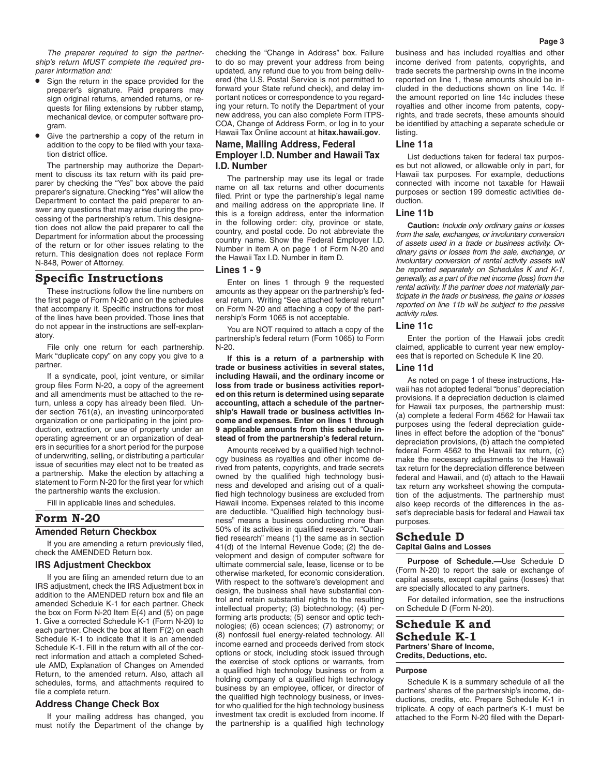*The preparer required to sign the partnership's return MUST complete the required preparer information and:*

- Sign the return in the space provided for the preparer's signature. Paid preparers may sign original returns, amended returns, or requests for filing extensions by rubber stamp, mechanical device, or computer software program.
- Give the partnership a copy of the return in addition to the copy to be filed with your taxation district office.

The partnership may authorize the Department to discuss its tax return with its paid preparer by checking the "Yes" box above the paid preparer's signature. Checking "Yes" will allow the Department to contact the paid preparer to answer any questions that may arise during the processing of the partnership's return. This designation does not allow the paid preparer to call the Department for information about the processing of the return or for other issues relating to the return. This designation does not replace Form N-848, Power of Attorney.

# **Specific Instructions**

These instructions follow the line numbers on the first page of Form N-20 and on the schedules that accompany it. Specific instructions for most of the lines have been provided. Those lines that do not appear in the instructions are self-explanatory.

File only one return for each partnership. Mark "duplicate copy" on any copy you give to a partner.

If a syndicate, pool, joint venture, or similar group files Form N-20, a copy of the agreement and all amendments must be attached to the return, unless a copy has already been filed. Under section 761(a), an investing unincorporated organization or one participating in the joint production, extraction, or use of property under an operating agreement or an organization of dealers in securities for a short period for the purpose of underwriting, selling, or distributing a particular issue of securities may elect not to be treated as a partnership. Make the election by attaching a statement to Form N-20 for the first year for which the partnership wants the exclusion.

Fill in applicable lines and schedules.

# **Form N-20**

**Amended Return Checkbox**

If you are amending a return previously filed, check the AMENDED Return box.

# **IRS Adjustment Checkbox**

If you are filing an amended return due to an IRS adjustment, check the IRS Adjustment box in addition to the AMENDED return box and file an amended Schedule K-1 for each partner. Check the box on Form N-20 Item E(4) and (5) on page 1. Give a corrected Schedule K-1 (Form N-20) to each partner. Check the box at Item F(2) on each Schedule K-1 to indicate that it is an amended Schedule K-1. Fill in the return with all of the correct information and attach a completed Schedule AMD, Explanation of Changes on Amended Return, to the amended return. Also, attach all schedules, forms, and attachments required to file a complete return.

# **Address Change Check Box**

If your mailing address has changed, you must notify the Department of the change by checking the "Change in Address" box. Failure to do so may prevent your address from being updated, any refund due to you from being delivered (the U.S. Postal Service is not permitted to forward your State refund check), and delay important notices or correspondence to you regarding your return. To notify the Department of your new address, you can also complete Form ITPS-COA, Change of Address Form, or log in to your Hawaii Tax Online account at **hitax.hawaii.gov**.

# **Name, Mailing Address, Federal Employer I.D. Number and Hawaii Tax I.D. Number**

The partnership may use its legal or trade name on all tax returns and other documents filed. Print or type the partnership's legal name and mailing address on the appropriate line. If this is a foreign address, enter the information in the following order: city, province or state, country, and postal code. Do not abbreviate the country name. Show the Federal Employer I.D. Number in item A on page 1 of Form N-20 and the Hawaii Tax I.D. Number in item D.

# **Lines 1 - 9**

Enter on lines 1 through 9 the requested amounts as they appear on the partnership's federal return. Writing "See attached federal return" on Form N-20 and attaching a copy of the partnership's Form 1065 is not acceptable.

You are NOT required to attach a copy of the partnership's federal return (Form 1065) to Form N-20.

**If this is a return of a partnership with trade or business activities in several states, including Hawaii, and the ordinary income or loss from trade or business activities reported on this return is determined using separate accounting, attach a schedule of the partnership's Hawaii trade or business activities income and expenses. Enter on lines 1 through 9 applicable amounts from this schedule instead of from the partnership's federal return.**

Amounts received by a qualified high technology business as royalties and other income derived from patents, copyrights, and trade secrets owned by the qualified high technology business and developed and arising out of a qualified high technology business are excluded from Hawaii income. Expenses related to this income are deductible. "Qualified high technology business" means a business conducting more than 50% of its activities in qualified research. "Qualified research" means (1) the same as in section 41(d) of the Internal Revenue Code; (2) the development and design of computer software for ultimate commercial sale, lease, license or to be otherwise marketed, for economic consideration. With respect to the software's development and design, the business shall have substantial control and retain substantial rights to the resulting intellectual property; (3) biotechnology; (4) performing arts products; (5) sensor and optic technologies; (6) ocean sciences; (7) astronomy; or (8) nonfossil fuel energy-related technology. All income earned and proceeds derived from stock options or stock, including stock issued through the exercise of stock options or warrants, from a qualified high technology business or from a holding company of a qualified high technology business by an employee, officer, or director of the qualified high technology business, or investor who qualified for the high technology business investment tax credit is excluded from income. If the partnership is a qualified high technology

business and has included royalties and other income derived from patents, copyrights, and trade secrets the partnership owns in the income reported on line 1, these amounts should be included in the deductions shown on line 14c. If the amount reported on line 14c includes these royalties and other income from patents, copyrights, and trade secrets, these amounts should be identified by attaching a separate schedule or listing.

# **Line 11a**

List deductions taken for federal tax purposes but not allowed, or allowable only in part, for Hawaii tax purposes. For example, deductions connected with income not taxable for Hawaii purposes or section 199 domestic activities deduction.

#### **Line 11b**

**Caution:** *Include only ordinary gains or losses from the sale, exchanges, or involuntary conversion of assets used in a trade or business activity. Ordinary gains or losses from the sale, exchange, or involuntary conversion of rental activity assets will be reported separately on Schedules K and K-1, generally, as a part of the net income (loss) from the rental activity. If the partner does not materially participate in the trade or business, the gains or losses reported on line 11b will be subject to the passive activity rules.*

#### **Line 11c**

Enter the portion of the Hawaii jobs credit claimed, applicable to current year new employees that is reported on Schedule K line 20.

#### **Line 11d**

As noted on page 1 of these instructions, Hawaii has not adopted federal "bonus" depreciation provisions. If a depreciation deduction is claimed for Hawaii tax purposes, the partnership must: (a) complete a federal Form 4562 for Hawaii tax purposes using the federal depreciation guidelines in effect before the adoption of the "bonus" depreciation provisions, (b) attach the completed federal Form 4562 to the Hawaii tax return, (c) make the necessary adjustments to the Hawaii tax return for the depreciation difference between federal and Hawaii, and (d) attach to the Hawaii tax return any worksheet showing the computation of the adjustments. The partnership must also keep records of the differences in the asset's depreciable basis for federal and Hawaii tax purposes.

#### **Schedule D Capital Gains and Losses**

**Purpose of Schedule.—**Use Schedule D (Form N-20) to report the sale or exchange of capital assets, except capital gains (losses) that are specially allocated to any partners.

For detailed information, see the instructions on Schedule D (Form N-20).

# **Schedule K and Schedule K-1 Partners' Share of Income, Credits, Deductions, etc.**

#### **Purpose**

Schedule K is a summary schedule of all the partners' shares of the partnership's income, deductions, credits, etc. Prepare Schedule K-1 in triplicate. A copy of each partner's K-1 must be attached to the Form N-20 filed with the Depart-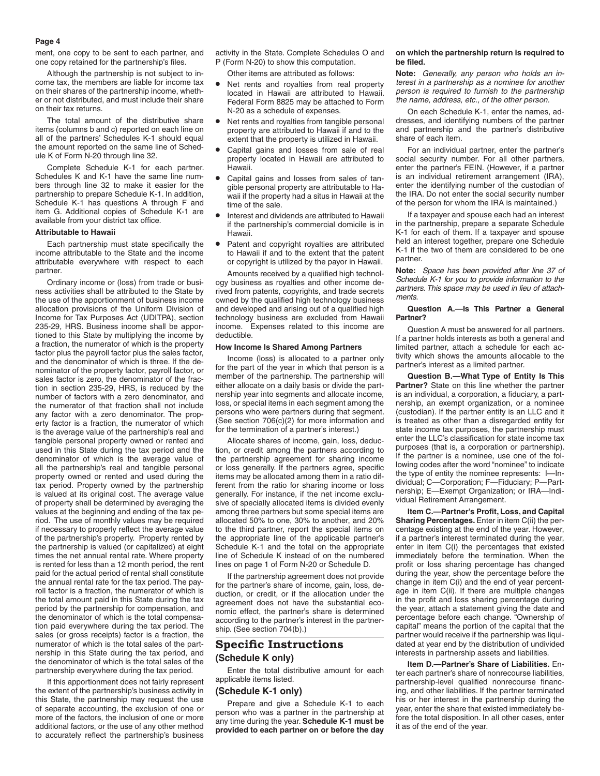ment, one copy to be sent to each partner, and one copy retained for the partnership's files.

Although the partnership is not subject to income tax, the members are liable for income tax on their shares of the partnership income, whether or not distributed, and must include their share on their tax returns.

The total amount of the distributive share items (columns b and c) reported on each line on all of the partners' Schedules K-1 should equal the amount reported on the same line of Schedule K of Form N-20 through line 32.

Complete Schedule K-1 for each partner. Schedules K and K-1 have the same line numbers through line 32 to make it easier for the partnership to prepare Schedule K-1. In addition, Schedule K-1 has questions A through F and item G. Additional copies of Schedule K-1 are available from your district tax office.

#### **Attributable to Hawaii**

Each partnership must state specifically the income attributable to the State and the income attributable everywhere with respect to each partner.

Ordinary income or (loss) from trade or business activities shall be attributed to the State by the use of the apportionment of business income allocation provisions of the Uniform Division of Income for Tax Purposes Act (UDITPA), section 235-29, HRS. Business income shall be apportioned to this State by multiplying the income by a fraction, the numerator of which is the property factor plus the payroll factor plus the sales factor, and the denominator of which is three. If the denominator of the property factor, payroll factor, or sales factor is zero, the denominator of the fraction in section 235-29, HRS, is reduced by the number of factors with a zero denominator, and the numerator of that fraction shall not include any factor with a zero denominator. The property factor is a fraction, the numerator of which is the average value of the partnership's real and tangible personal property owned or rented and used in this State during the tax period and the denominator of which is the average value of all the partnership's real and tangible personal property owned or rented and used during the tax period. Property owned by the partnership is valued at its original cost. The average value of property shall be determined by averaging the values at the beginning and ending of the tax period. The use of monthly values may be required if necessary to properly reflect the average value of the partnership's property. Property rented by the partnership is valued (or capitalized) at eight times the net annual rental rate. Where property is rented for less than a 12 month period, the rent paid for the actual period of rental shall constitute the annual rental rate for the tax period. The payroll factor is a fraction, the numerator of which is the total amount paid in this State during the tax period by the partnership for compensation, and the denominator of which is the total compensation paid everywhere during the tax period. The sales (or gross receipts) factor is a fraction, the numerator of which is the total sales of the partnership in this State during the tax period, and the denominator of which is the total sales of the partnership everywhere during the tax period.

If this apportionment does not fairly represent the extent of the partnership's business activity in this State, the partnership may request the use of separate accounting, the exclusion of one or more of the factors, the inclusion of one or more additional factors, or the use of any other method to accurately reflect the partnership's business

activity in the State. Complete Schedules O and P (Form N-20) to show this computation.

Other items are attributed as follows:

- Net rents and royalties from real property located in Hawaii are attributed to Hawaii. Federal Form 8825 may be attached to Form N-20 as a schedule of expenses.
- Net rents and royalties from tangible personal property are attributed to Hawaii if and to the extent that the property is utilized in Hawaii.
- Capital gains and losses from sale of real property located in Hawaii are attributed to Hawaii.
- Capital gains and losses from sales of tangible personal property are attributable to Hawaii if the property had a situs in Hawaii at the time of the sale.
- Interest and dividends are attributed to Hawaii if the partnership's commercial domicile is in Hawaii.
- Patent and copyright royalties are attributed to Hawaii if and to the extent that the patent or copyright is utilized by the payor in Hawaii.

Amounts received by a qualified high technology business as royalties and other income derived from patents, copyrights, and trade secrets owned by the qualified high technology business and developed and arising out of a qualified high technology business are excluded from Hawaii income. Expenses related to this income are deductible.

#### **How Income Is Shared Among Partners**

Income (loss) is allocated to a partner only for the part of the year in which that person is a member of the partnership. The partnership will either allocate on a daily basis or divide the partnership year into segments and allocate income, loss, or special items in each segment among the persons who were partners during that segment. (See section 706(c)(2) for more information and for the termination of a partner's interest.)

Allocate shares of income, gain, loss, deduction, or credit among the partners according to the partnership agreement for sharing income or loss generally. If the partners agree, specific items may be allocated among them in a ratio different from the ratio for sharing income or loss generally. For instance, if the net income exclusive of specially allocated items is divided evenly among three partners but some special items are allocated 50% to one, 30% to another, and 20% to the third partner, report the special items on the appropriate line of the applicable partner's Schedule K-1 and the total on the appropriate line of Schedule K instead of on the numbered lines on page 1 of Form N-20 or Schedule D.

If the partnership agreement does not provide for the partner's share of income, gain, loss, deduction, or credit, or if the allocation under the agreement does not have the substantial economic effect, the partner's share is determined according to the partner's interest in the partnership. (See section 704(b).)

# **Specific Instructions (Schedule K only)**

Enter the total distributive amount for each applicable items listed.

# **(Schedule K-1 only)**

Prepare and give a Schedule K-1 to each person who was a partner in the partnership at any time during the year. **Schedule K-1 must be provided to each partner on or before the day** 

#### **on which the partnership return is required to be filed.**

**Note:** *Generally, any person who holds an interest in a partnership as a nominee for another person is required to furnish to the partnership the name, address, etc., of the other person.*

On each Schedule K-1, enter the names, addresses, and identifying numbers of the partner and partnership and the partner's distributive share of each item.

For an individual partner, enter the partner's social security number. For all other partners, enter the partner's FEIN. (However, if a partner is an individual retirement arrangement (IRA), enter the identifying number of the custodian of the IRA. Do not enter the social security number of the person for whom the IRA is maintained.)

If a taxpayer and spouse each had an interest in the partnership, prepare a separate Schedule K-1 for each of them. If a taxpayer and spouse held an interest together, prepare one Schedule K-1 if the two of them are considered to be one partner.

**Note:** *Space has been provided after line 37 of Schedule K-1 for you to provide information to the partners. This space may be used in lieu of attachments.*

#### **Question A.—Is This Partner a General Partner?**

Question A must be answered for all partners. If a partner holds interests as both a general and limited partner, attach a schedule for each activity which shows the amounts allocable to the partner's interest as a limited partner.

**Question B.—What Type of Entity Is This Partner?** State on this line whether the partner is an individual, a corporation, a fiduciary, a partnership, an exempt organization, or a nominee (custodian). If the partner entity is an LLC and it is treated as other than a disregarded entity for state income tax purposes, the partnership must enter the LLC's classification for state income tax purposes (that is, a corporation or partnership). If the partner is a nominee, use one of the following codes after the word "nominee" to indicate the type of entity the nominee represents: I—Individual; C—Corporation; F—Fiduciary; P—Partnership; E—Exempt Organization; or IRA—Individual Retirement Arrangement.

**Item C.—Partner's Profit, Loss, and Capital Sharing Percentages.** Enter in item C(ii) the percentage existing at the end of the year. However, if a partner's interest terminated during the year, enter in item C(i) the percentages that existed immediately before the termination. When the profit or loss sharing percentage has changed during the year, show the percentage before the change in item C(i) and the end of year percentage in item C(ii). If there are multiple changes in the profit and loss sharing percentage during the year, attach a statement giving the date and percentage before each change. "Ownership of capital" means the portion of the capital that the partner would receive if the partnership was liquidated at year end by the distribution of undivided interests in partnership assets and liabilities.

**Item D.—Partner's Share of Liabilities.** Enter each partner's share of nonrecourse liabilities, partnership-level qualified nonrecourse financing, and other liabilities. If the partner terminated his or her interest in the partnership during the year, enter the share that existed immediately before the total disposition. In all other cases, enter it as of the end of the year.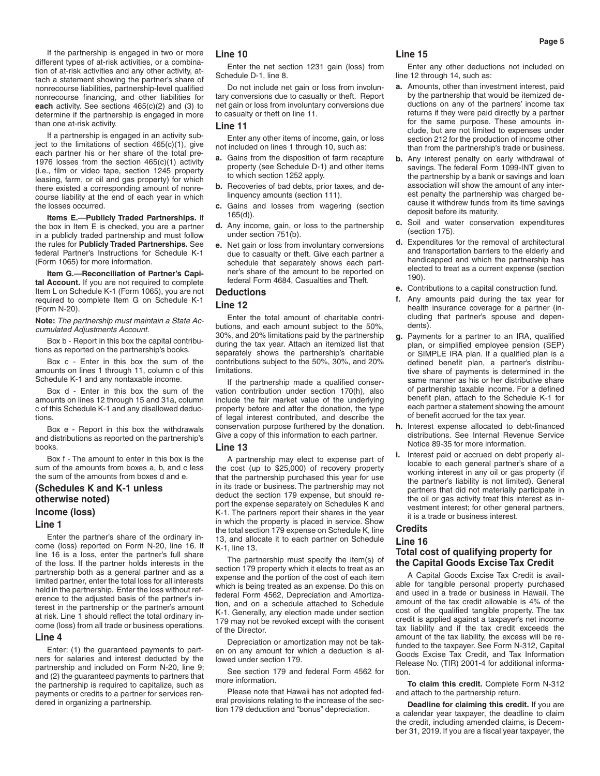If the partnership is engaged in two or more different types of at-risk activities, or a combination of at-risk activities and any other activity, attach a statement showing the partner's share of nonrecourse liabilities, partnership-level qualified nonrecourse financing, and other liabilities for **each** activity. See sections 465(c)(2) and (3) to determine if the partnership is engaged in more than one at-risk activity.

If a partnership is engaged in an activity subject to the limitations of section  $465(c)(1)$ , give each partner his or her share of the total pre-1976 losses from the section 465(c)(1) activity (i.e., film or video tape, section 1245 property leasing, farm, or oil and gas property) for which there existed a corresponding amount of nonrecourse liability at the end of each year in which the losses occurred.

**Items E.—Publicly Traded Partnerships.** If the box in Item E is checked, you are a partner in a publicly traded partnership and must follow the rules for **Publicly Traded Partnerships.** See federal Partner's Instructions for Schedule K-1 (Form 1065) for more information.

**Item G.—Reconciliation of Partner's Capi**tal **Account.** If you are not required to complete Item L on Schedule K-1 (Form 1065), you are not required to complete Item G on Schedule K-1 (Form N-20).

**Note:** *The partnership must maintain a State Accumulated Adjustments Account.*

Box b - Report in this box the capital contributions as reported on the partnership's books.

Box c - Enter in this box the sum of the amounts on lines 1 through 11, column c of this Schedule K-1 and any nontaxable income.

Box d - Enter in this box the sum of the amounts on lines 12 through 15 and 31a, column c of this Schedule K-1 and any disallowed deductions.

Box e - Report in this box the withdrawals and distributions as reported on the partnership's books.

Box f - The amount to enter in this box is the sum of the amounts from boxes a, b, and c less the sum of the amounts from boxes d and e.

# **(Schedules K and K-1 unless otherwise noted) Income (loss)**

#### **Line 1**

Enter the partner's share of the ordinary income (loss) reported on Form N-20, line 16. If line 16 is a loss, enter the partner's full share of the loss. If the partner holds interests in the partnership both as a general partner and as a limited partner, enter the total loss for all interests held in the partnership. Enter the loss without reference to the adjusted basis of the partner's interest in the partnership or the partner's amount at risk. Line 1 should reflect the total ordinary income (loss) from all trade or business operations.

#### **Line 4**

Enter: (1) the guaranteed payments to partners for salaries and interest deducted by the partnership and included on Form N-20, line 9; and (2) the guaranteed payments to partners that the partnership is required to capitalize, such as payments or credits to a partner for services rendered in organizing a partnership.

#### **Line 10**

Enter the net section 1231 gain (loss) from Schedule D-1, line 8.

Do not include net gain or loss from involuntary conversions due to casualty or theft. Report net gain or loss from involuntary conversions due to casualty or theft on line 11.

#### **Line 11**

Enter any other items of income, gain, or loss not included on lines 1 through 10, such as:

- **a.** Gains from the disposition of farm recapture property (see Schedule D-1) and other items to which section 1252 apply.
- **b.** Recoveries of bad debts, prior taxes, and delinquency amounts (section 111).
- **c.** Gains and losses from wagering (section 165(d)).
- **d.** Any income, gain, or loss to the partnership under section 751(b).
- **e.** Net gain or loss from involuntary conversions due to casualty or theft. Give each partner a schedule that separately shows each partner's share of the amount to be reported on federal Form 4684, Casualties and Theft.

#### **Deductions**

#### **Line 12**

Enter the total amount of charitable contributions, and each amount subject to the 50%, 30%, and 20% limitations paid by the partnership during the tax year. Attach an itemized list that separately shows the partnership's charitable contributions subject to the 50%, 30%, and 20% limitations.

If the partnership made a qualified conservation contribution under section 170(h), also include the fair market value of the underlying property before and after the donation, the type of legal interest contributed, and describe the conservation purpose furthered by the donation. Give a copy of this information to each partner.

#### **Line 13**

A partnership may elect to expense part of the cost (up to \$25,000) of recovery property that the partnership purchased this year for use in its trade or business. The partnership may not deduct the section 179 expense, but should report the expense separately on Schedules K and K-1. The partners report their shares in the year in which the property is placed in service. Show the total section 179 expense on Schedule K, line 13, and allocate it to each partner on Schedule K-1, line 13.

The partnership must specify the item(s) of section 179 property which it elects to treat as an expense and the portion of the cost of each item which is being treated as an expense. Do this on federal Form 4562, Depreciation and Amortization, and on a schedule attached to Schedule K-1. Generally, any election made under section 179 may not be revoked except with the consent of the Director.

Depreciation or amortization may not be taken on any amount for which a deduction is allowed under section 179.

See section 179 and federal Form 4562 for more information.

Please note that Hawaii has not adopted federal provisions relating to the increase of the section 179 deduction and "bonus" depreciation.

#### **Line 15**

Enter any other deductions not included on line 12 through 14, such as:

- **a.** Amounts, other than investment interest, paid by the partnership that would be itemized deductions on any of the partners' income tax returns if they were paid directly by a partner for the same purpose. These amounts include, but are not limited to expenses under section 212 for the production of income other than from the partnership's trade or business.
- **b.** Any interest penalty on early withdrawal of savings. The federal Form 1099-INT given to the partnership by a bank or savings and loan association will show the amount of any interest penalty the partnership was charged because it withdrew funds from its time savings deposit before its maturity.
- **c.** Soil and water conservation expenditures (section 175).
- **d.** Expenditures for the removal of architectural and transportation barriers to the elderly and handicapped and which the partnership has elected to treat as a current expense (section 190).
- **e.** Contributions to a capital construction fund.
- **f.** Any amounts paid during the tax year for health insurance coverage for a partner (including that partner's spouse and dependents).
- **g.** Payments for a partner to an IRA, qualified plan, or simplified employee pension (SEP) or SIMPLE IRA plan. If a qualified plan is a defined benefit plan, a partner's distributive share of payments is determined in the same manner as his or her distributive share of partnership taxable income. For a defined benefit plan, attach to the Schedule K-1 for each partner a statement showing the amount of benefit accrued for the tax year.
- **h.** Interest expense allocated to debt-financed distributions. See Internal Revenue Service Notice 89-35 for more information.
- **i.** Interest paid or accrued on debt properly allocable to each general partner's share of a working interest in any oil or gas property (if the partner's liability is not limited). General partners that did not materially participate in the oil or gas activity treat this interest as investment interest; for other general partners, it is a trade or business interest.

# **Credits Line 16**

# **Total cost of qualifying property for the Capital Goods Excise Tax Credit**

A Capital Goods Excise Tax Credit is available for tangible personal property purchased and used in a trade or business in Hawaii. The amount of the tax credit allowable is 4% of the cost of the qualified tangible property. The tax credit is applied against a taxpayer's net income tax liability and if the tax credit exceeds the amount of the tax liability, the excess will be refunded to the taxpayer. See Form N-312, Capital Goods Excise Tax Credit, and Tax Information Release No. (TIR) 2001-4 for additional information.

**To claim this credit.** Complete Form N-312 and attach to the partnership return.

**Deadline for claiming this credit.** If you are a calendar year taxpayer, the deadline to claim the credit, including amended claims, is December 31, 2019. If you are a fiscal year taxpayer, the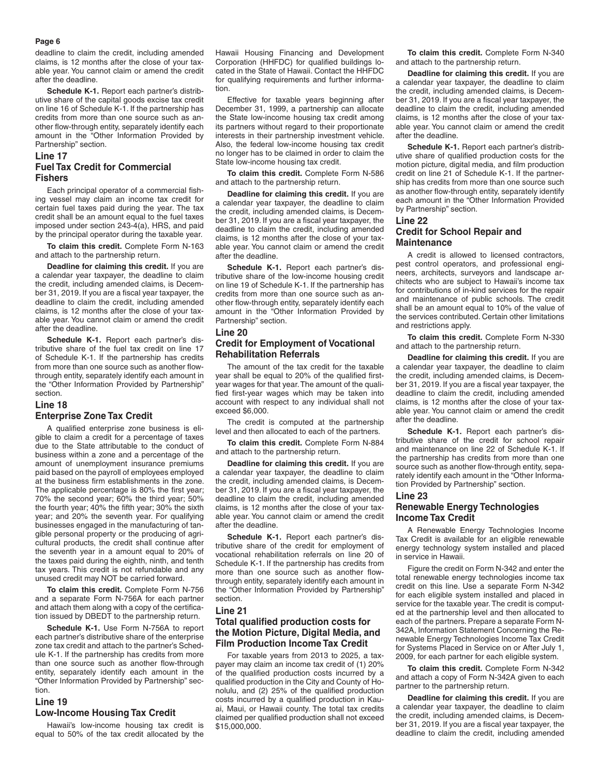#### **Page 6**

deadline to claim the credit, including amended claims, is 12 months after the close of your taxable year. You cannot claim or amend the credit after the deadline.

**Schedule K-1.** Report each partner's distributive share of the capital goods excise tax credit on line 16 of Schedule K-1. If the partnership has credits from more than one source such as another flow-through entity, separately identify each amount in the "Other Information Provided by Partnership" section.

# **Line 17 Fuel Tax Credit for Commercial Fishers**

Each principal operator of a commercial fishing vessel may claim an income tax credit for certain fuel taxes paid during the year. The tax credit shall be an amount equal to the fuel taxes imposed under section 243-4(a), HRS, and paid by the principal operator during the taxable year.

**To claim this credit.** Complete Form N-163 and attach to the partnership return.

**Deadline for claiming this credit.** If you are a calendar year taxpayer, the deadline to claim the credit, including amended claims, is December 31, 2019. If you are a fiscal year taxpayer, the deadline to claim the credit, including amended claims, is 12 months after the close of your taxable year. You cannot claim or amend the credit after the deadline.

**Schedule K-1.** Report each partner's distributive share of the fuel tax credit on line 17 of Schedule K-1. If the partnership has credits from more than one source such as another flowthrough entity, separately identify each amount in the "Other Information Provided by Partnership" section.

# **Line 18 Enterprise Zone Tax Credit**

A qualified enterprise zone business is eligible to claim a credit for a percentage of taxes due to the State attributable to the conduct of business within a zone and a percentage of the amount of unemployment insurance premiums paid based on the payroll of employees employed at the business firm establishments in the zone. The applicable percentage is 80% the first year; 70% the second year; 60% the third year; 50% the fourth year; 40% the fifth year; 30% the sixth year; and 20% the seventh year. For qualifying businesses engaged in the manufacturing of tangible personal property or the producing of agricultural products, the credit shall continue after the seventh year in a amount equal to 20% of the taxes paid during the eighth, ninth, and tenth tax years. This credit is not refundable and any unused credit may NOT be carried forward.

**To claim this credit.** Complete Form N-756 and a separate Form N-756A for each partner and attach them along with a copy of the certification issued by DBEDT to the partnership return.

**Schedule K-1.** Use Form N-756A to report each partner's distributive share of the enterprise zone tax credit and attach to the partner's Schedule K-1. If the partnership has credits from more than one source such as another flow-through entity, separately identify each amount in the "Other Information Provided by Partnership" section.

#### **Line 19**

#### **Low-Income Housing Tax Credit**

Hawaii's low-income housing tax credit is equal to 50% of the tax credit allocated by the Hawaii Housing Financing and Development Corporation (HHFDC) for qualified buildings located in the State of Hawaii. Contact the HHFDC for qualifying requirements and further information.

Effective for taxable years beginning after December 31, 1999, a partnership can allocate the State low-income housing tax credit among its partners without regard to their proportionate interests in their partnership investment vehicle. Also, the federal low-income housing tax credit no longer has to be claimed in order to claim the State low-income housing tax credit.

**To claim this credit.** Complete Form N-586 and attach to the partnership return.

**Deadline for claiming this credit.** If you are a calendar year taxpayer, the deadline to claim the credit, including amended claims, is December 31, 2019. If you are a fiscal year taxpayer, the deadline to claim the credit, including amended claims, is 12 months after the close of your taxable year. You cannot claim or amend the credit after the deadline.

**Schedule K-1.** Report each partner's distributive share of the low-income housing credit on line 19 of Schedule K-1. If the partnership has credits from more than one source such as another flow-through entity, separately identify each amount in the "Other Information Provided by Partnership" section.

#### **Line 20**

# **Credit for Employment of Vocational Rehabilitation Referrals**

The amount of the tax credit for the taxable year shall be equal to 20% of the qualified firstyear wages for that year. The amount of the qualified first-year wages which may be taken into account with respect to any individual shall not exceed \$6,000.

The credit is computed at the partnership level and then allocated to each of the partners.

**To claim this credit.** Complete Form N-884 and attach to the partnership return.

**Deadline for claiming this credit.** If you are a calendar year taxpayer, the deadline to claim the credit, including amended claims, is December 31, 2019. If you are a fiscal year taxpayer, the deadline to claim the credit, including amended claims, is 12 months after the close of your taxable year. You cannot claim or amend the credit after the deadline.

**Schedule K-1.** Report each partner's distributive share of the credit for employment of vocational rehabilitation referrals on line 20 of Schedule K-1. If the partnership has credits from more than one source such as another flowthrough entity, separately identify each amount in the "Other Information Provided by Partnership" section.

#### **Line 21**

# **Total qualified production costs for the Motion Picture, Digital Media, and Film Production Income Tax Credit**

For taxable years from 2013 to 2025, a taxpayer may claim an income tax credit of (1) 20% of the qualified production costs incurred by a qualified production in the City and County of Honolulu, and (2) 25% of the qualified production costs incurred by a qualified production in Kauai, Maui, or Hawaii county. The total tax credits claimed per qualified production shall not exceed \$15,000,000.

**To claim this credit.** Complete Form N-340 and attach to the partnership return.

**Deadline for claiming this credit.** If you are a calendar year taxpayer, the deadline to claim the credit, including amended claims, is December 31, 2019. If you are a fiscal year taxpayer, the deadline to claim the credit, including amended claims, is 12 months after the close of your taxable year. You cannot claim or amend the credit after the deadline.

**Schedule K-1.** Report each partner's distributive share of qualified production costs for the motion picture, digital media, and film production credit on line 21 of Schedule K-1. If the partnership has credits from more than one source such as another flow-through entity, separately identify each amount in the "Other Information Provided by Partnership" section.

#### **Line 22**

# **Credit for School Repair and Maintenance**

A credit is allowed to licensed contractors, pest control operators, and professional engineers, architects, surveyors and landscape architects who are subject to Hawaii's income tax for contributions of in-kind services for the repair and maintenance of public schools. The credit shall be an amount equal to 10% of the value of the services contributed. Certain other limitations and restrictions apply.

**To claim this credit.** Complete Form N-330 and attach to the partnership return.

**Deadline for claiming this credit.** If you are a calendar year taxpayer, the deadline to claim the credit, including amended claims, is December 31, 2019. If you are a fiscal year taxpayer, the deadline to claim the credit, including amended claims, is 12 months after the close of your taxable year. You cannot claim or amend the credit after the deadline.

**Schedule K-1.** Report each partner's distributive share of the credit for school repair and maintenance on line 22 of Schedule K-1. If the partnership has credits from more than one source such as another flow-through entity, separately identify each amount in the "Other Information Provided by Partnership" section.

#### **Line 23**

# **Renewable Energy Technologies Income Tax Credit**

A Renewable Energy Technologies Income Tax Credit is available for an eligible renewable energy technology system installed and placed in service in Hawaii.

Figure the credit on Form N-342 and enter the total renewable energy technologies income tax credit on this line. Use a separate Form N-342 for each eligible system installed and placed in service for the taxable year. The credit is computed at the partnership level and then allocated to each of the partners. Prepare a separate Form N-342A, Information Statement Concerning the Renewable Energy Technologies Income Tax Credit for Systems Placed in Service on or After July 1, 2009, for each partner for each eligible system.

**To claim this credit.** Complete Form N-342 and attach a copy of Form N-342A given to each partner to the partnership return.

**Deadline for claiming this credit.** If you are a calendar year taxpayer, the deadline to claim the credit, including amended claims, is December 31, 2019. If you are a fiscal year taxpayer, the deadline to claim the credit, including amended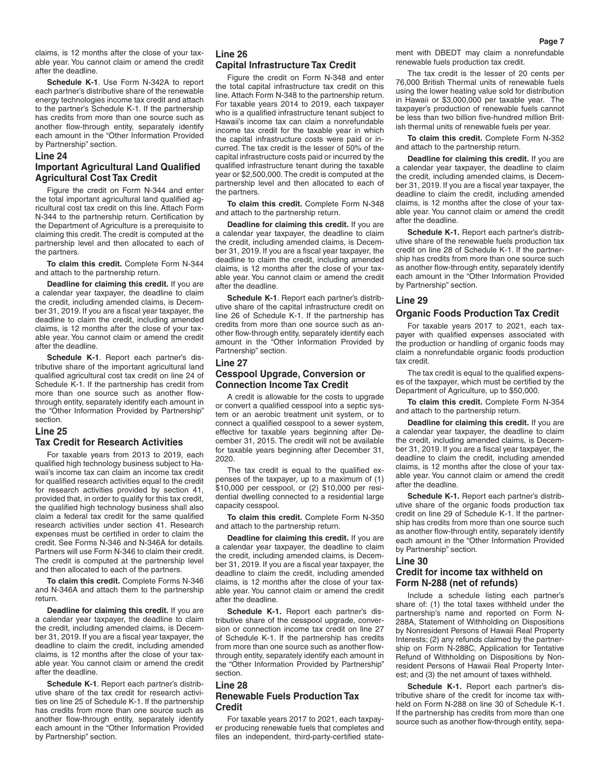claims, is 12 months after the close of your taxable year. You cannot claim or amend the credit after the deadline.

**Schedule K-1**. Use Form N-342A to report each partner's distributive share of the renewable energy technologies income tax credit and attach to the partner's Schedule K-1. If the partnership has credits from more than one source such as another flow-through entity, separately identify each amount in the "Other Information Provided by Partnership" section.

#### **Line 24**

# **Important Agricultural Land Qualified Agricultural Cost Tax Credit**

Figure the credit on Form N-344 and enter the total important agricultural land qualified agricultural cost tax credit on this line. Attach Form N-344 to the partnership return. Certification by the Department of Agriculture is a prerequisite to claiming this credit. The credit is computed at the partnership level and then allocated to each of the partners.

**To claim this credit.** Complete Form N-344 and attach to the partnership return.

**Deadline for claiming this credit.** If you are a calendar year taxpayer, the deadline to claim the credit, including amended claims, is December 31, 2019. If you are a fiscal year taxpayer, the deadline to claim the credit, including amended claims, is 12 months after the close of your taxable year. You cannot claim or amend the credit after the deadline.

**Schedule K-1**. Report each partner's distributive share of the important agricultural land qualified agricultural cost tax credit on line 24 of Schedule K-1. If the partnership has credit from more than one source such as another flowthrough entity, separately identify each amount in the "Other Information Provided by Partnership" section.

#### **Line 25**

# **Tax Credit for Research Activities**

For taxable years from 2013 to 2019, each qualified high technology business subject to Hawaii's income tax can claim an income tax credit for qualified research activities equal to the credit for research activities provided by section 41, provided that, in order to qualify for this tax credit, the qualified high technology business shall also claim a federal tax credit for the same qualified research activities under section 41. Research expenses must be certified in order to claim the credit. See Forms N-346 and N-346A for details. Partners will use Form N-346 to claim their credit. The credit is computed at the partnership level and then allocated to each of the partners.

**To claim this credit.** Complete Forms N-346 and N-346A and attach them to the partnership return.

**Deadline for claiming this credit.** If you are a calendar year taxpayer, the deadline to claim the credit, including amended claims, is December 31, 2019. If you are a fiscal year taxpayer, the deadline to claim the credit, including amended claims, is 12 months after the close of your taxable year. You cannot claim or amend the credit after the deadline.

**Schedule K-1**. Report each partner's distributive share of the tax credit for research activities on line 25 of Schedule K-1. If the partnership has credits from more than one source such as another flow-through entity, separately identify each amount in the "Other Information Provided by Partnership" section.

# **Line 26 Capital Infrastructure Tax Credit**

Figure the credit on Form N-348 and enter the total capital infrastructure tax credit on this line. Attach Form N-348 to the partnership return. For taxable years 2014 to 2019, each taxpayer who is a qualified infrastructure tenant subject to Hawaii's income tax can claim a nonrefundable income tax credit for the taxable year in which the capital infrastructure costs were paid or incurred. The tax credit is the lesser of 50% of the capital infrastructure costs paid or incurred by the qualified infrastructure tenant during the taxable year or \$2,500,000. The credit is computed at the partnership level and then allocated to each of .<br>the partners

**To claim this credit.** Complete Form N-348 and attach to the partnership return.

**Deadline for claiming this credit.** If you are a calendar year taxpayer, the deadline to claim the credit, including amended claims, is December 31, 2019. If you are a fiscal year taxpayer, the deadline to claim the credit, including amended claims, is 12 months after the close of your taxable year. You cannot claim or amend the credit after the deadline.

**Schedule K-1**. Report each partner's distributive share of the capital infrastructure credit on line 26 of Schedule K-1. If the partnership has credits from more than one source such as another flow-through entity, separately identify each amount in the "Other Information Provided by Partnership" section.

# **Line 27 Cesspool Upgrade, Conversion or Connection Income Tax Credit**

A credit is allowable for the costs to upgrade or convert a qualified cesspool into a septic system or an aerobic treatment unit system, or to connect a qualified cesspool to a sewer system, effective for taxable years beginning after December 31, 2015. The credit will not be available for taxable years beginning after December 31, 2020.

The tax credit is equal to the qualified expenses of the taxpayer, up to a maximum of (1) \$10,000 per cesspool, or (2) \$10,000 per residential dwelling connected to a residential large capacity cesspool.

**To claim this credit.** Complete Form N-350 and attach to the partnership return.

**Deadline for claiming this credit.** If you are a calendar year taxpayer, the deadline to claim the credit, including amended claims, is December 31, 2019. If you are a fiscal year taxpayer, the deadline to claim the credit, including amended claims, is 12 months after the close of your taxable year. You cannot claim or amend the credit after the deadline.

**Schedule K-1.** Report each partner's distributive share of the cesspool upgrade, conversion or connection income tax credit on line 27 of Schedule K-1. If the partnership has credits from more than one source such as another flowthrough entity, separately identify each amount in the "Other Information Provided by Partnership" section.

## **Line 28 Renewable Fuels Production Tax Credit**

For taxable years 2017 to 2021, each taxpayer producing renewable fuels that completes and files an independent, third-party-certified statement with DBEDT may claim a nonrefundable renewable fuels production tax credit.

The tax credit is the lesser of 20 cents per 76,000 British Thermal units of renewable fuels using the lower heating value sold for distribution in Hawaii or \$3,000,000 per taxable year. The taxpayer's production of renewable fuels cannot be less than two billion five-hundred million British thermal units of renewable fuels per year.

**To claim this credit.** Complete Form N-352 and attach to the partnership return.

**Deadline for claiming this credit.** If you are a calendar year taxpayer, the deadline to claim the credit, including amended claims, is December 31, 2019. If you are a fiscal year taxpayer, the deadline to claim the credit, including amended claims, is 12 months after the close of your taxable year. You cannot claim or amend the credit after the deadline.

**Schedule K-1.** Report each partner's distributive share of the renewable fuels production tax credit on line 28 of Schedule K-1. If the partnership has credits from more than one source such as another flow-through entity, separately identify each amount in the "Other Information Provided by Partnership" section.

# **Line 29 Organic Foods Production Tax Credit**

For taxable years 2017 to 2021, each taxpayer with qualified expenses associated with the production or handling of organic foods may claim a nonrefundable organic foods production tax credit.

The tax credit is equal to the qualified expenses of the taxpayer, which must be certified by the Department of Agriculture, up to \$50,000.

**To claim this credit.** Complete Form N-354 and attach to the partnership return.

**Deadline for claiming this credit.** If you are a calendar year taxpayer, the deadline to claim the credit, including amended claims, is December 31, 2019. If you are a fiscal year taxpayer, the deadline to claim the credit, including amended claims, is 12 months after the close of your taxable year. You cannot claim or amend the credit after the deadline.

**Schedule K-1.** Report each partner's distributive share of the organic foods production tax credit on line 29 of Schedule K-1. If the partnership has credits from more than one source such as another flow-through entity, separately identify each amount in the "Other Information Provided by Partnership" section.

# **Line 30**

# **Credit for income tax withheld on Form N-288 (net of refunds)**

Include a schedule listing each partner's share of: (1) the total taxes withheld under the partnership's name and reported on Form N-288A, Statement of Withholding on Dispositions by Nonresident Persons of Hawaii Real Property Interests; (2) any refunds claimed by the partnership on Form N-288C, Application for Tentative Refund of Withholding on Dispositions by Nonresident Persons of Hawaii Real Property Interest; and (3) the net amount of taxes withheld.

**Schedule K-1.** Report each partner's distributive share of the credit for income tax withheld on Form N-288 on line 30 of Schedule K-1. If the partnership has credits from more than one source such as another flow-through entity, sepa-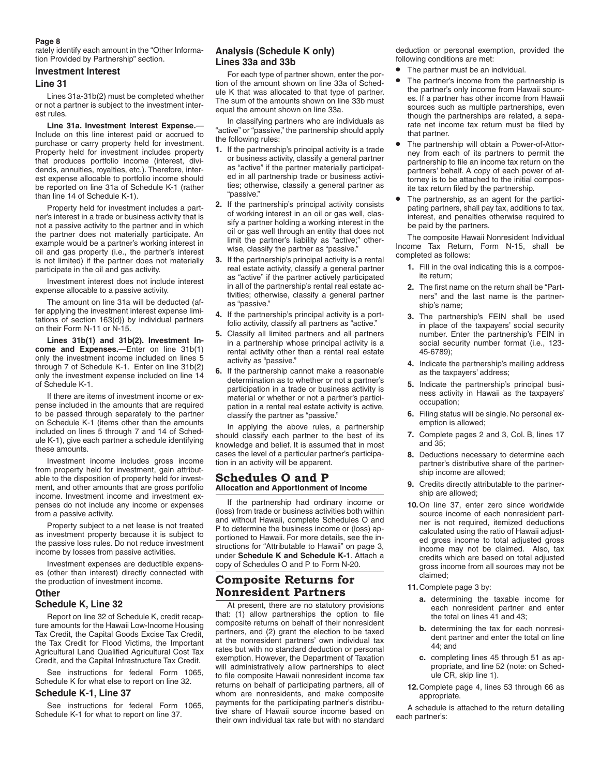#### **Page 8**

rately identify each amount in the "Other Information Provided by Partnership" section.

### **Investment Interest**

### **Line 31**

Lines 31a-31b(2) must be completed whether or not a partner is subject to the investment interest rules.

**Line 31a. Investment Interest Expense.**— Include on this line interest paid or accrued to purchase or carry property held for investment. Property held for investment includes property that produces portfolio income (interest, dividends, annuities, royalties, etc.). Therefore, interest expense allocable to portfolio income should be reported on line 31a of Schedule K-1 (rather than line 14 of Schedule K-1).

Property held for investment includes a partner's interest in a trade or business activity that is not a passive activity to the partner and in which the partner does not materially participate. An example would be a partner's working interest in oil and gas property (i.e., the partner's interest is not limited) if the partner does not materially participate in the oil and gas activity.

Investment interest does not include interest expense allocable to a passive activity.

The amount on line 31a will be deducted (after applying the investment interest expense limitations of section 163(d)) by individual partners on their Form N-11 or N-15.

**Lines 31b(1) and 31b(2). Investment Income and Expenses.**—Enter on line 31b(1) only the investment income included on lines 5 through 7 of Schedule K-1. Enter on line 31b(2) only the investment expense included on line 14 of Schedule K-1.

If there are items of investment income or expense included in the amounts that are required to be passed through separately to the partner on Schedule K-1 (items other than the amounts included on lines 5 through 7 and 14 of Schedule K-1), give each partner a schedule identifying these amounts.

Investment income includes gross income from property held for investment, gain attributable to the disposition of property held for investment, and other amounts that are gross portfolio income. Investment income and investment expenses do not include any income or expenses from a passive activity.

Property subject to a net lease is not treated as investment property because it is subject to the passive loss rules. Do not reduce investment income by losses from passive activities.

Investment expenses are deductible expenses (other than interest) directly connected with the production of investment income.

# **Other**

# **Schedule K, Line 32**

Report on line 32 of Schedule K, credit recapture amounts for the Hawaii Low-Income Housing Tax Credit, the Capital Goods Excise Tax Credit, the Tax Credit for Flood Victims, the Important Agricultural Land Qualified Agricultural Cost Tax Credit, and the Capital Infrastructure Tax Credit.

See instructions for federal Form 1065, Schedule K for what else to report on line 32.

# **Schedule K-1, Line 37**

See instructions for federal Form 1065, Schedule K-1 for what to report on line 37.

# **Analysis (Schedule K only) Lines 33a and 33b**

For each type of partner shown, enter the portion of the amount shown on line 33a of Schedule K that was allocated to that type of partner. The sum of the amounts shown on line 33b must equal the amount shown on line 33a.

In classifying partners who are individuals as "active" or "passive," the partnership should apply the following rules:

- **1.** If the partnership's principal activity is a trade or business activity, classify a general partner as "active" if the partner materially participated in all partnership trade or business activities; otherwise, classify a general partner as "passive."
- **2.** If the partnership's principal activity consists of working interest in an oil or gas well, classify a partner holding a working interest in the oil or gas well through an entity that does not limit the partner's liability as "active;" otherwise, classify the partner as "passive."
- **3.** If the partnership's principal activity is a rental real estate activity, classify a general partner as "active" if the partner actively participated in all of the partnership's rental real estate activities; otherwise, classify a general partner as "passive."
- **4.** If the partnership's principal activity is a portfolio activity, classify all partners as "active."
- **5.** Classify all limited partners and all partners in a partnership whose principal activity is a rental activity other than a rental real estate activity as "passive."
- **6.** If the partnership cannot make a reasonable determination as to whether or not a partner's participation in a trade or business activity is material or whether or not a partner's participation in a rental real estate activity is active, classify the partner as "passive."

In applying the above rules, a partnership should classify each partner to the best of its knowledge and belief. It is assumed that in most cases the level of a particular partner's participation in an activity will be apparent.

# **Schedules O and P Allocation and Apportionment of Income**

If the partnership had ordinary income or (loss) from trade or business activities both within and without Hawaii, complete Schedules O and P to determine the business income or (loss) apportioned to Hawaii. For more details, see the instructions for "Attributable to Hawaii" on page 3, under **Schedule K and Schedule K-1**. Attach a copy of Schedules O and P to Form N-20.

# **Composite Returns for Nonresident Partners**

At present, there are no statutory provisions that: (1) allow partnerships the option to file composite returns on behalf of their nonresident partners, and (2) grant the election to be taxed at the nonresident partners' own individual tax rates but with no standard deduction or personal exemption. However, the Department of Taxation will administratively allow partnerships to elect to file composite Hawaii nonresident income tax returns on behalf of participating partners, all of whom are nonresidents, and make composite payments for the participating partner's distributive share of Hawaii source income based on their own individual tax rate but with no standard deduction or personal exemption, provided the following conditions are met:

- The partner must be an individual.
- The partner's income from the partnership is the partner's only income from Hawaii sources. If a partner has other income from Hawaii sources such as multiple partnerships, even though the partnerships are related, a separate net income tax return must be filed by that partner.
- The partnership will obtain a Power-of-Attorney from each of its partners to permit the partnership to file an income tax return on the partners' behalf. A copy of each power of attorney is to be attached to the initial composite tax return filed by the partnership.
- The partnership, as an agent for the participating partners, shall pay tax, additions to tax, interest, and penalties otherwise required to be paid by the partners.

The composite Hawaii Nonresident Individual Income Tax Return, Form N-15, shall be completed as follows:

- **1.** Fill in the oval indicating this is a composite return;
- **2.** The first name on the return shall be "Partners" and the last name is the partnership's name;
- **3.** The partnership's FEIN shall be used in place of the taxpayers' social security number. Enter the partnership's FEIN in social security number format (i.e., 123- 45-6789);
- **4.** Indicate the partnership's mailing address as the taxpayers' address;
- **5.** Indicate the partnership's principal business activity in Hawaii as the taxpayers' occupation;
- **6.** Filing status will be single. No personal exemption is allowed;
- **7.** Complete pages 2 and 3, Col. B, lines 17 and 35;
- **8.** Deductions necessary to determine each partner's distributive share of the partnership income are allowed;
- **9.** Credits directly attributable to the partnership are allowed;
- **10.**On line 37, enter zero since worldwide source income of each nonresident partner is not required, itemized deductions calculated using the ratio of Hawaii adjusted gross income to total adjusted gross income may not be claimed. Also, tax credits which are based on total adjusted gross income from all sources may not be claimed;
- **11.**Complete page 3 by:
	- **a.** determining the taxable income for each nonresident partner and enter the total on lines 41 and 43;
	- **b.** determining the tax for each nonresident partner and enter the total on line 44; and
	- **c.** completing lines 45 through 51 as appropriate, and line 52 (note: on Schedule CR, skip line 1).
- **12.**Complete page 4, lines 53 through 66 as appropriate.

A schedule is attached to the return detailing each partner's: